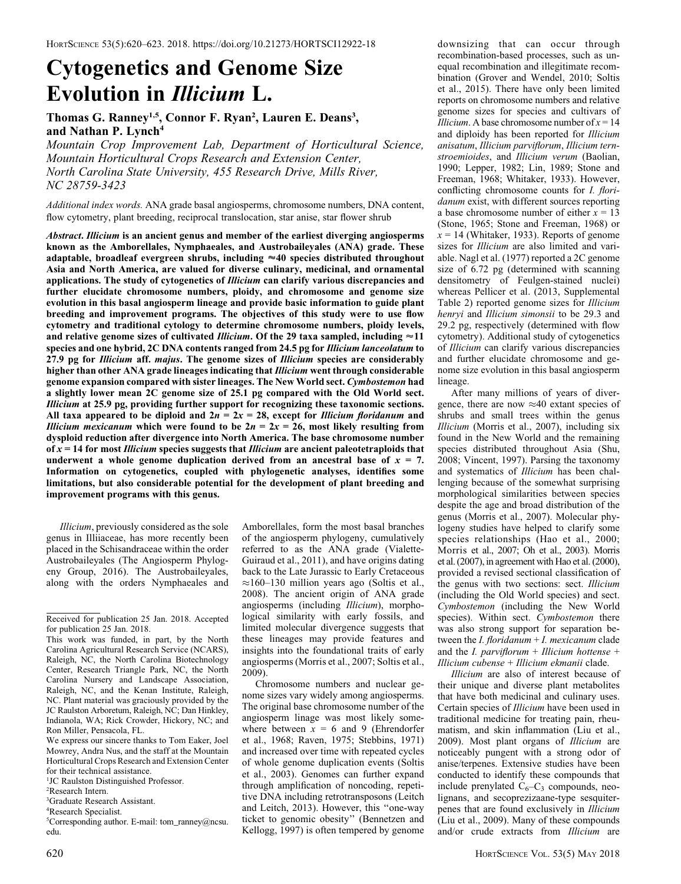# Cytogenetics and Genome Size Evolution in Illicium L.

## Thomas G. Ranney<sup>1,5</sup>, Connor F. Ryan<sup>2</sup>, Lauren E. Deans<sup>3</sup>, and Nathan P. Lynch<sup>4</sup>

Mountain Crop Improvement Lab, Department of Horticultural Science, Mountain Horticultural Crops Research and Extension Center, North Carolina State University, 455 Research Drive, Mills River, NC 28759-3423

Additional index words. ANA grade basal angiosperms, chromosome numbers, DNA content, flow cytometry, plant breeding, reciprocal translocation, star anise, star flower shrub

Abstract. Illicium is an ancient genus and member of the earliest diverging angiosperms known as the Amborellales, Nymphaeales, and Austrobaileyales (ANA) grade. These adaptable, broadleaf evergreen shrubs, including  $\approx$  40 species distributed throughout Asia and North America, are valued for diverse culinary, medicinal, and ornamental applications. The study of cytogenetics of Illicium can clarify various discrepancies and further elucidate chromosome numbers, ploidy, and chromosome and genome size evolution in this basal angiosperm lineage and provide basic information to guide plant breeding and improvement programs. The objectives of this study were to use flow cytometry and traditional cytology to determine chromosome numbers, ploidy levels, and relative genome sizes of cultivated *Illicium*. Of the 29 taxa sampled, including  $\approx$  11 species and one hybrid, 2C DNA contents ranged from 24.5 pg for Illicium lanceolatum to 27.9 pg for Illicium aff. majus. The genome sizes of Illicium species are considerably higher than other ANA grade lineages indicating that Illicium went through considerable genome expansion compared with sister lineages. The New World sect. Cymbostemon had a slightly lower mean 2C genome size of 25.1 pg compared with the Old World sect. Illicium at 25.9 pg, providing further support for recognizing these taxonomic sections. All taxa appeared to be diploid and  $2n = 2x = 28$ , except for *Illicium floridanum* and *Illicium mexicanum* which were found to be  $2n = 2x = 26$ , most likely resulting from dysploid reduction after divergence into North America. The base chromosome number of  $x = 14$  for most *Illicium* species suggests that *Illicium* are ancient paleotetraploids that underwent a whole genome duplication derived from an ancestral base of  $x = 7$ . Information on cytogenetics, coupled with phylogenetic analyses, identifies some limitations, but also considerable potential for the development of plant breeding and improvement programs with this genus.

Illicium, previously considered as the sole genus in Illiiaceae, has more recently been placed in the Schisandraceae within the order Austrobaileyales (The Angiosperm Phylogeny Group, 2016). The Austrobaileyales, along with the orders Nymphaeales and Amborellales, form the most basal branches of the angiosperm phylogeny, cumulatively referred to as the ANA grade (Vialette-Guiraud et al., 2011), and have origins dating back to the Late Jurassic to Early Cretaceous  $\approx$ 160–130 million years ago (Soltis et al., 2008). The ancient origin of ANA grade angiosperms (including Illicium), morphological similarity with early fossils, and limited molecular divergence suggests that these lineages may provide features and insights into the foundational traits of early angiosperms (Morris et al., 2007; Soltis et al., 2009).

Chromosome numbers and nuclear genome sizes vary widely among angiosperms. The original base chromosome number of the angiosperm linage was most likely somewhere between  $x = 6$  and 9 (Ehrendorfer et al., 1968; Raven, 1975; Stebbins, 1971) and increased over time with repeated cycles of whole genome duplication events (Soltis et al., 2003). Genomes can further expand through amplification of noncoding, repetitive DNA including retrotransposons (Leitch and Leitch, 2013). However, this ''one-way ticket to genomic obesity'' (Bennetzen and Kellogg, 1997) is often tempered by genome downsizing that can occur through recombination-based processes, such as unequal recombination and illegitimate recombination (Grover and Wendel, 2010; Soltis et al., 2015). There have only been limited reports on chromosome numbers and relative genome sizes for species and cultivars of *Illicium*. A base chromosome number of  $x = 14$ and diploidy has been reported for Illicium anisatum, Illicium parviflorum, Illicium ternstroemioides, and Illicium verum (Baolian, 1990; Lepper, 1982; Lin, 1989; Stone and Freeman, 1968; Whitaker, 1933). However, conflicting chromosome counts for *I. flori*danum exist, with different sources reporting a base chromosome number of either  $x = 13$ (Stone, 1965; Stone and Freeman, 1968) or  $x = 14$  (Whitaker, 1933). Reports of genome sizes for *Illicium* are also limited and variable. Nagl et al. (1977) reported a 2C genome size of 6.72 pg (determined with scanning densitometry of Feulgen-stained nuclei) whereas Pellicer et al. (2013, Supplemental Table 2) reported genome sizes for Illicium henryi and Illicium simonsii to be 29.3 and 29.2 pg, respectively (determined with flow cytometry). Additional study of cytogenetics of Illicium can clarify various discrepancies and further elucidate chromosome and genome size evolution in this basal angiosperm lineage.

After many millions of years of divergence, there are now  $\approx 40$  extant species of shrubs and small trees within the genus Illicium (Morris et al., 2007), including six found in the New World and the remaining species distributed throughout Asia (Shu, 2008; Vincent, 1997). Parsing the taxonomy and systematics of Illicium has been challenging because of the somewhat surprising morphological similarities between species despite the age and broad distribution of the genus (Morris et al., 2007). Molecular phylogeny studies have helped to clarify some species relationships (Hao et al., 2000; Morris et al., 2007; Oh et al., 2003). Morris et al. (2007), in agreement with Hao et al. (2000), provided a revised sectional classification of the genus with two sections: sect. Illicium (including the Old World species) and sect. Cymbostemon (including the New World species). Within sect. Cymbostemon there was also strong support for separation between the *I. floridanum*  $+$  *I. mexicanum* clade and the *I. parviflorum* + *Illicium hottense* + Illicium cubense + Illicium ekmanii clade.

Illicium are also of interest because of their unique and diverse plant metabolites that have both medicinal and culinary uses. Certain species of Illicium have been used in traditional medicine for treating pain, rheumatism, and skin inflammation (Liu et al., 2009). Most plant organs of Illicium are noticeably pungent with a strong odor of anise/terpenes. Extensive studies have been conducted to identify these compounds that include prenylated  $C_6-C_3$  compounds, neolignans, and secoprezizaane-type sesquiterpenes that are found exclusively in Illicium (Liu et al., 2009). Many of these compounds and/or crude extracts from Illicium are

Received for publication 25 Jan. 2018. Accepted for publication 25 Jan. 2018.

This work was funded, in part, by the North Carolina Agricultural Research Service (NCARS), Raleigh, NC, the North Carolina Biotechnology Center, Research Triangle Park, NC, the North Carolina Nursery and Landscape Association, Raleigh, NC, and the Kenan Institute, Raleigh, NC. Plant material was graciously provided by the JC Raulston Arboretum, Raleigh, NC; Dan Hinkley, Indianola, WA; Rick Crowder, Hickory, NC; and Ron Miller, Pensacola, FL.

We express our sincere thanks to Tom Eaker, Joel Mowrey, Andra Nus, and the staff at the Mountain Horticultural Crops Research and Extension Center for their technical assistance.

<sup>&</sup>lt;sup>1</sup>JC Raulston Distinguished Professor.

<sup>2</sup> Research Intern.

<sup>3</sup> Graduate Research Assistant.

<sup>4</sup> Research Specialist.

<sup>5</sup> Corresponding author. E-mail: tom\_ranney@ncsu. edu.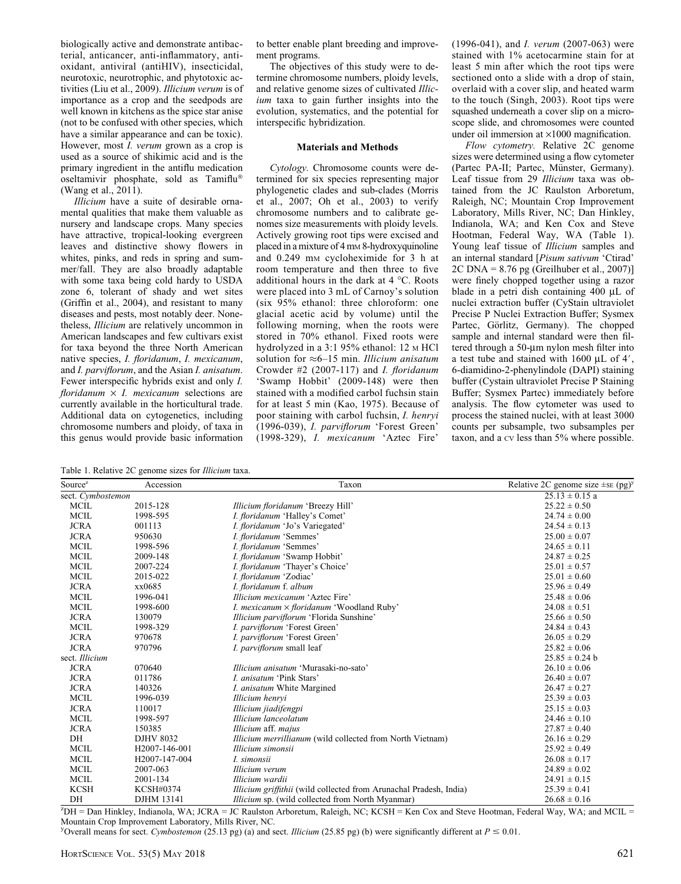biologically active and demonstrate antibacterial, anticancer, anti-inflammatory, antioxidant, antiviral (antiHIV), insecticidal, neurotoxic, neurotrophic, and phytotoxic activities (Liu et al., 2009). Illicium verum is of importance as a crop and the seedpods are well known in kitchens as the spice star anise (not to be confused with other species, which have a similar appearance and can be toxic). However, most I. verum grown as a crop is used as a source of shikimic acid and is the primary ingredient in the antiflu medication oseltamivir phosphate, sold as Tamiflu (Wang et al., 2011).

Illicium have a suite of desirable ornamental qualities that make them valuable as nursery and landscape crops. Many species have attractive, tropical-looking evergreen leaves and distinctive showy flowers in whites, pinks, and reds in spring and summer/fall. They are also broadly adaptable with some taxa being cold hardy to USDA zone 6, tolerant of shady and wet sites (Griffin et al., 2004), and resistant to many diseases and pests, most notably deer. Nonetheless, Illicium are relatively uncommon in American landscapes and few cultivars exist for taxa beyond the three North American native species, I. floridanum, I. mexicanum, and I. parviflorum, and the Asian I. anisatum. Fewer interspecific hybrids exist and only I. floridanum  $\times$  I. mexicanum selections are currently available in the horticultural trade. Additional data on cytogenetics, including chromosome numbers and ploidy, of taxa in this genus would provide basic information to better enable plant breeding and improvement programs.

The objectives of this study were to determine chromosome numbers, ploidy levels, and relative genome sizes of cultivated Illicium taxa to gain further insights into the evolution, systematics, and the potential for interspecific hybridization.

#### Materials and Methods

Cytology. Chromosome counts were determined for six species representing major phylogenetic clades and sub-clades (Morris et al., 2007; Oh et al., 2003) to verify chromosome numbers and to calibrate genomes size measurements with ploidy levels. Actively growing root tips were excised and placed in a mixture of 4 mM 8-hydroxyquinoline and 0.249 mM cycloheximide for 3 h at room temperature and then three to five additional hours in the dark at  $4^{\circ}$ C. Roots were placed into 3 mL of Carnoy's solution (six 95% ethanol: three chloroform: one glacial acetic acid by volume) until the following morning, when the roots were stored in 70% ethanol. Fixed roots were hydrolyzed in a 3:1 95% ethanol: 12 M HCl solution for  $\approx 6-15$  min. Illicium anisatum Crowder  $#2$  (2007-117) and *I. floridanum* 'Swamp Hobbit' (2009-148) were then stained with a modified carbol fuchsin stain for at least 5 min (Kao, 1975). Because of poor staining with carbol fuchsin, I. henryi (1996-039), I. parviflorum 'Forest Green' (1998-329), I. mexicanum 'Aztec Fire'

(1996-041), and I. verum (2007-063) were stained with 1% acetocarmine stain for at least 5 min after which the root tips were sectioned onto a slide with a drop of stain, overlaid with a cover slip, and heated warm to the touch (Singh, 2003). Root tips were squashed underneath a cover slip on a microscope slide, and chromosomes were counted under oil immersion at  $\times$ 1000 magnification.

Flow cytometry. Relative 2C genome sizes were determined using a flow cytometer (Partec PA-II; Partec, Münster, Germany). Leaf tissue from 29 Illicium taxa was obtained from the JC Raulston Arboretum, Raleigh, NC; Mountain Crop Improvement Laboratory, Mills River, NC; Dan Hinkley, Indianola, WA; and Ken Cox and Steve Hootman, Federal Way, WA (Table 1). Young leaf tissue of Illicium samples and an internal standard [Pisum sativum 'Ctirad' 2C DNA = 8.76 pg (Greilhuber et al., 2007)] were finely chopped together using a razor blade in a petri dish containing  $400 \mu L$  of nuclei extraction buffer (CyStain ultraviolet Precise P Nuclei Extraction Buffer; Sysmex Partec, Görlitz, Germany). The chopped sample and internal standard were then filtered through a 50-µm nylon mesh filter into a test tube and stained with  $1600 \mu L$  of 4', 6-diamidino-2-phenylindole (DAPI) staining buffer (Cystain ultraviolet Precise P Staining Buffer; Sysmex Partec) immediately before analysis. The flow cytometer was used to process the stained nuclei, with at least 3000 counts per subsample, two subsamples per taxon, and a CV less than 5% where possible.

Table 1. Relative 2C genome sizes for Illicium taxa.

| Source <sup>z</sup> | Accession                  | Taxon                                                                     | Relative 2C genome size $\pm$ sE (pg) <sup>y</sup> |
|---------------------|----------------------------|---------------------------------------------------------------------------|----------------------------------------------------|
| sect. Cymbostemon   |                            |                                                                           | $25.13 \pm 0.15$ a                                 |
| <b>MCIL</b>         | 2015-128                   | Illicium floridanum 'Breezy Hill'                                         | $25.22 \pm 0.50$                                   |
| <b>MCIL</b>         | 1998-595                   | I. floridanum 'Halley's Comet'                                            | $24.74 \pm 0.00$                                   |
| <b>JCRA</b>         | 001113                     | I. floridanum 'Jo's Variegated'                                           | $24.54 \pm 0.13$                                   |
| <b>JCRA</b>         | 950630                     | I. floridanum 'Semmes'                                                    | $25.00 \pm 0.07$                                   |
| <b>MCIL</b>         | 1998-596                   | I. floridanum 'Semmes'                                                    | $24.65 \pm 0.11$                                   |
| <b>MCIL</b>         | 2009-148                   | I. floridanum 'Swamp Hobbit'                                              | $24.87 \pm 0.25$                                   |
| <b>MCIL</b>         | 2007-224                   | I. floridanum 'Thayer's Choice'                                           | $25.01 \pm 0.57$                                   |
| <b>MCIL</b>         | 2015-022                   | I. floridanum 'Zodiac'                                                    | $25.01 \pm 0.60$                                   |
| <b>JCRA</b>         | xx0685                     | I. floridanum f. album                                                    | $25.96 \pm 0.49$                                   |
| <b>MCIL</b>         | 1996-041                   | Illicium mexicanum 'Aztec Fire'                                           | $25.48 \pm 0.06$                                   |
| <b>MCIL</b>         | 1998-600                   | <i>I. mexicanum</i> $\times$ <i>floridanum</i> 'Woodland Ruby'            | $24.08 \pm 0.51$                                   |
| <b>JCRA</b>         | 130079                     | Illicium parviflorum 'Florida Sunshine'                                   | $25.66 \pm 0.50$                                   |
| <b>MCIL</b>         | 1998-329                   | I. parviflorum 'Forest Green'                                             | $24.84 \pm 0.43$                                   |
| <b>JCRA</b>         | 970678                     | I. parviflorum 'Forest Green'                                             | $26.05 \pm 0.29$                                   |
| <b>JCRA</b>         | 970796                     | I. parviflorum small leaf                                                 | $25.82 \pm 0.06$                                   |
| sect. Illicium      |                            | $25.85 \pm 0.24$ b                                                        |                                                    |
| <b>JCRA</b>         | 070640                     | <i>Illicium anisatum</i> 'Murasaki-no-sato'                               | $26.10 \pm 0.06$                                   |
| <b>JCRA</b>         | 011786                     | I. anisatum 'Pink Stars'                                                  | $26.40 \pm 0.07$                                   |
| <b>JCRA</b>         | 140326                     | <i>I. anisatum</i> White Margined                                         | $26.47 \pm 0.27$                                   |
| <b>MCIL</b>         | 1996-039                   | Illicium henryi                                                           | $25.39 \pm 0.03$                                   |
| <b>JCRA</b>         | 110017                     | Illicium jiadifengpi                                                      | $25.15 \pm 0.03$                                   |
| <b>MCIL</b>         | 1998-597                   | Illicium lanceolatum                                                      | $24.46 \pm 0.10$                                   |
| <b>JCRA</b>         | 150385                     | Illicium aff. majus                                                       | $27.87 \pm 0.40$                                   |
| DH                  | <b>DJHV 8032</b>           | <i>Illicium merrillianum</i> (wild collected from North Vietnam)          | $26.16 \pm 0.29$                                   |
| <b>MCIL</b>         | H <sub>2007</sub> -146-001 | Illicium simonsii                                                         | $25.92 \pm 0.49$                                   |
| <b>MCIL</b>         | H2007-147-004              | I. simonsii                                                               | $26.08 \pm 0.17$                                   |
| <b>MCIL</b>         | 2007-063                   | Illicium verum                                                            | $24.89 \pm 0.02$                                   |
| <b>MCIL</b>         | 2001-134                   | Illicium wardii                                                           | $24.91 \pm 0.15$                                   |
| <b>KCSH</b>         | KCSH#0374                  | <i>Illicium griffithii</i> (wild collected from Arunachal Pradesh, India) | $25.39 \pm 0.41$                                   |
| DH                  | DJHM 13141                 | <i>Illicium</i> sp. (wild collected from North Myanmar)                   | $26.68 \pm 0.16$                                   |

z DH = Dan Hinkley, Indianola, WA; JCRA = JC Raulston Arboretum, Raleigh, NC; KCSH = Ken Cox and Steve Hootman, Federal Way, WA; and MCIL = Mountain Crop Improvement Laboratory, Mills River, NC.

Y Overall means for sect. Cymbostemon (25.13 pg) (a) and sect. Illicium (25.85 pg) (b) were significantly different at  $P \le 0.01$ .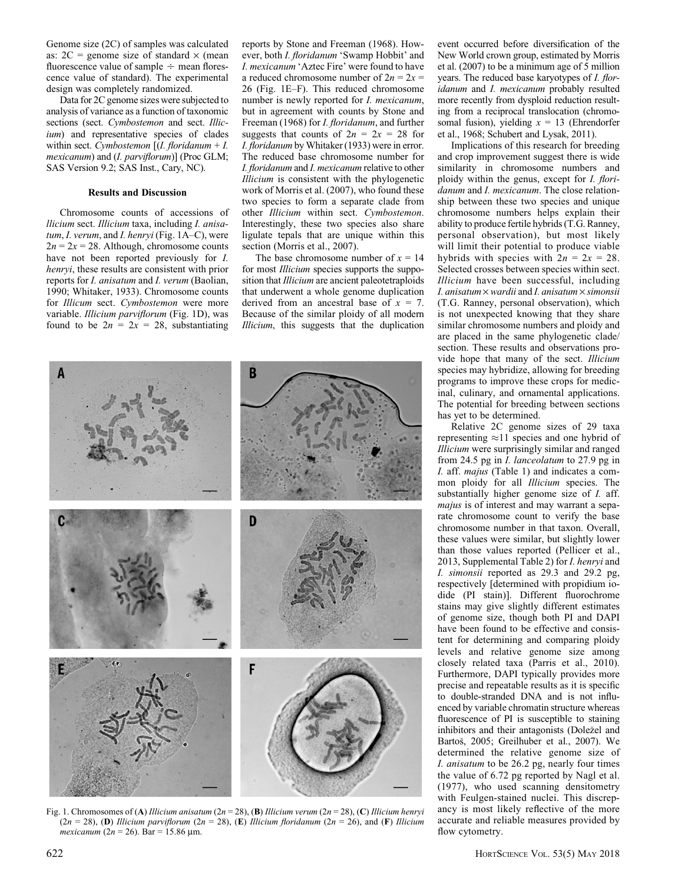Genome size (2C) of samples was calculated as:  $2C$  = genome size of standard  $\times$  (mean fluorescence value of sample  $\div$  mean florescence value of standard). The experimental design was completely randomized.

Data for 2C genome sizes were subjected to analysis of variance as a function of taxonomic sections (sect. Cymbostemon and sect. Illicium) and representative species of clades within sect. Cymbostemon  $[(I.$  floridanum + I. mexicanum) and (I. parviflorum)] (Proc GLM; SAS Version 9.2; SAS Inst., Cary, NC).

### Results and Discussion

Chromosome counts of accessions of llicium sect. Illicium taxa, including I. anisatum, I. verum, and I. henryi (Fig. 1A–C), were  $2n = 2x = 28$ . Although, chromosome counts have not been reported previously for I. henryi, these results are consistent with prior reports for I. anisatum and I. verum (Baolian, 1990; Whitaker, 1933). Chromosome counts for Illicum sect. Cymbostemon were more variable. Illicium parviflorum (Fig. 1D), was found to be  $2n = 2x = 28$ , substantiating

reports by Stone and Freeman (1968). However, both I. floridanum 'Swamp Hobbit' and I. mexicanum 'Aztec Fire' were found to have a reduced chromosome number of  $2n = 2x =$ 26 (Fig. 1E–F). This reduced chromosome number is newly reported for I. mexicanum, but in agreement with counts by Stone and Freeman (1968) for *I. floridanum*, and further suggests that counts of  $2n = 2x = 28$  for I. floridanum by Whitaker (1933) were in error. The reduced base chromosome number for I. floridanum and I. mexicanum relative to other Illicium is consistent with the phylogenetic work of Morris et al. (2007), who found these two species to form a separate clade from other Illicium within sect. Cymbostemon. Interestingly, these two species also share ligulate tepals that are unique within this section (Morris et al., 2007).

The base chromosome number of  $x = 14$ for most *Illicium* species supports the supposition that *Illicium* are ancient paleotetraploids that underwent a whole genome duplication derived from an ancestral base of  $x = 7$ . Because of the similar ploidy of all modern Illicium, this suggests that the duplication



Fig. 1. Chromosomes of (A) Illicium anisatum (2n = 28), (B) Illicium verum (2n = 28), (C) Illicium henryi  $(2n = 28)$ , (D) Illicium parviflorum  $(2n = 28)$ , (E) Illicium floridanum  $(2n = 26)$ , and (F) Illicium mexicanum (2n = 26). Bar = 15.86 µm.

event occurred before diversification of the New World crown group, estimated by Morris et al. (2007) to be a minimum age of 5 million years. The reduced base karyotypes of *I. flor*idanum and I. mexicanum probably resulted more recently from dysploid reduction resulting from a reciprocal translocation (chromosomal fusion), yielding  $x = 13$  (Ehrendorfer et al., 1968; Schubert and Lysak, 2011).

Implications of this research for breeding and crop improvement suggest there is wide similarity in chromosome numbers and ploidy within the genus, except for *I. flori*danum and I. mexicanum. The close relationship between these two species and unique chromosome numbers helps explain their ability to produce fertile hybrids (T.G. Ranney, personal observation), but most likely will limit their potential to produce viable hybrids with species with  $2n = 2x = 28$ . Selected crosses between species within sect. Illicium have been successful, including I. anisatum  $\times$  wardii and I. anisatum  $\times$  simonsii (T.G. Ranney, personal observation), which is not unexpected knowing that they share similar chromosome numbers and ploidy and are placed in the same phylogenetic clade/ section. These results and observations provide hope that many of the sect. Illicium species may hybridize, allowing for breeding programs to improve these crops for medicinal, culinary, and ornamental applications. The potential for breeding between sections has yet to be determined.

Relative 2C genome sizes of 29 taxa representing  $\approx$ 11 species and one hybrid of Illicium were surprisingly similar and ranged from 24.5 pg in I. lanceolatum to 27.9 pg in I. aff. majus (Table 1) and indicates a common ploidy for all *Illicium* species. The substantially higher genome size of *I*. aff. majus is of interest and may warrant a separate chromosome count to verify the base chromosome number in that taxon. Overall, these values were similar, but slightly lower than those values reported (Pellicer et al., 2013, Supplemental Table 2) for I. henryi and I. simonsii reported as 29.3 and 29.2 pg, respectively [determined with propidium iodide (PI stain)]. Different fluorochrome stains may give slightly different estimates of genome size, though both PI and DAPI have been found to be effective and consistent for determining and comparing ploidy levels and relative genome size among closely related taxa (Parris et al., 2010). Furthermore, DAPI typically provides more precise and repeatable results as it is specific to double-stranded DNA and is not influenced by variable chromatin structure whereas fluorescence of PI is susceptible to staining inhibitors and their antagonists (Doležel and Bartoš, 2005; Greilhuber et al., 2007). We determined the relative genome size of I. anisatum to be 26.2 pg, nearly four times the value of 6.72 pg reported by Nagl et al. (1977), who used scanning densitometry with Feulgen-stained nuclei. This discrepancy is most likely reflective of the more accurate and reliable measures provided by flow cytometry.